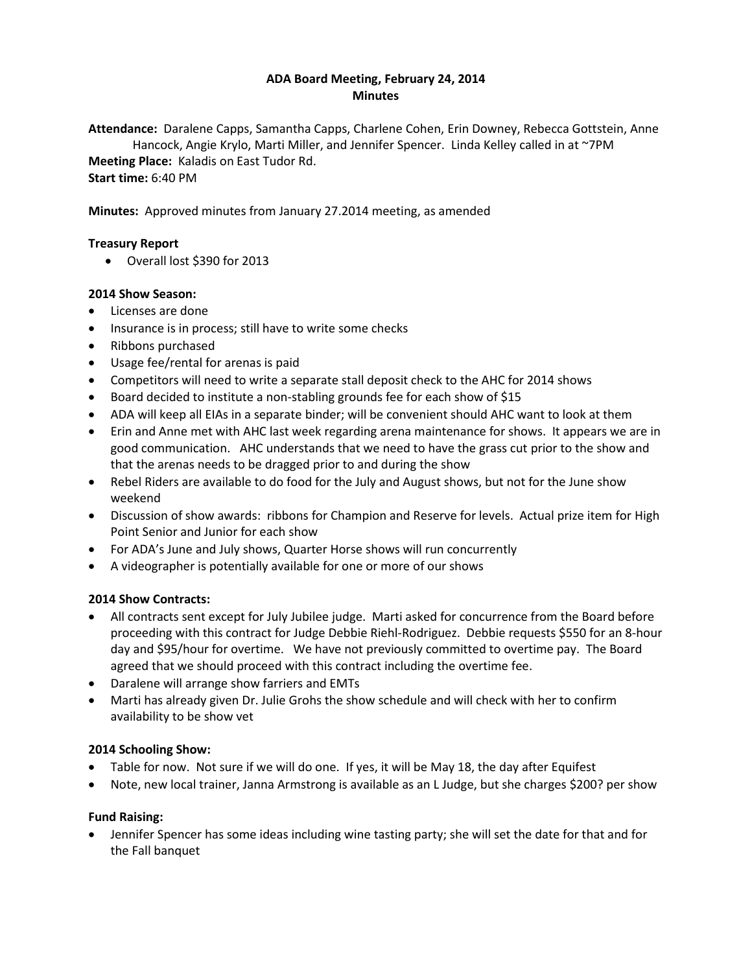# **ADA Board Meeting, February 24, 2014 Minutes**

**Attendance:** Daralene Capps, Samantha Capps, Charlene Cohen, Erin Downey, Rebecca Gottstein, Anne Hancock, Angie Krylo, Marti Miller, and Jennifer Spencer. Linda Kelley called in at ~7PM **Meeting Place:** Kaladis on East Tudor Rd. **Start time:** 6:40 PM

**Minutes:** Approved minutes from January 27.2014 meeting, as amended

# **Treasury Report**

Overall lost \$390 for 2013

#### **2014 Show Season:**

- Licenses are done
- Insurance is in process; still have to write some checks
- Ribbons purchased
- Usage fee/rental for arenas is paid
- Competitors will need to write a separate stall deposit check to the AHC for 2014 shows
- Board decided to institute a non-stabling grounds fee for each show of \$15
- ADA will keep all EIAs in a separate binder; will be convenient should AHC want to look at them
- Erin and Anne met with AHC last week regarding arena maintenance for shows. It appears we are in good communication. AHC understands that we need to have the grass cut prior to the show and that the arenas needs to be dragged prior to and during the show
- Rebel Riders are available to do food for the July and August shows, but not for the June show weekend
- Discussion of show awards: ribbons for Champion and Reserve for levels. Actual prize item for High Point Senior and Junior for each show
- For ADA's June and July shows, Quarter Horse shows will run concurrently
- A videographer is potentially available for one or more of our shows

# **2014 Show Contracts:**

- All contracts sent except for July Jubilee judge. Marti asked for concurrence from the Board before proceeding with this contract for Judge Debbie Riehl-Rodriguez. Debbie requests \$550 for an 8-hour day and \$95/hour for overtime. We have not previously committed to overtime pay. The Board agreed that we should proceed with this contract including the overtime fee.
- Daralene will arrange show farriers and EMTs
- Marti has already given Dr. Julie Grohs the show schedule and will check with her to confirm availability to be show vet

# **2014 Schooling Show:**

- Table for now. Not sure if we will do one. If yes, it will be May 18, the day after Equifest
- Note, new local trainer, Janna Armstrong is available as an L Judge, but she charges \$200? per show

# **Fund Raising:**

 Jennifer Spencer has some ideas including wine tasting party; she will set the date for that and for the Fall banquet